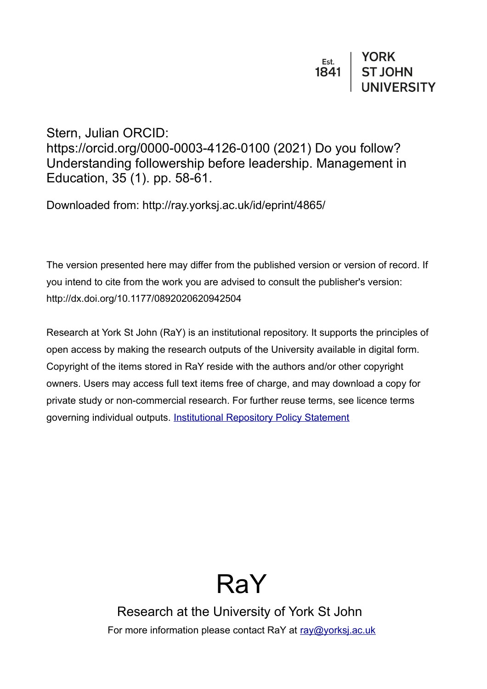# Stern, Julian ORCID:

https://orcid.org/0000-0003-4126-0100 (2021) Do you follow? Understanding followership before leadership. Management in Education, 35 (1). pp. 58-61.

Downloaded from: http://ray.yorksj.ac.uk/id/eprint/4865/

The version presented here may differ from the published version or version of record. If you intend to cite from the work you are advised to consult the publisher's version: http://dx.doi.org/10.1177/0892020620942504

Research at York St John (RaY) is an institutional repository. It supports the principles of open access by making the research outputs of the University available in digital form. Copyright of the items stored in RaY reside with the authors and/or other copyright owners. Users may access full text items free of charge, and may download a copy for private study or non-commercial research. For further reuse terms, see licence terms governing individual outputs. [Institutional Repository Policy Statement](https://www.yorksj.ac.uk/ils/repository-policies/)

# RaY

Research at the University of York St John For more information please contact RaY at [ray@yorksj.ac.uk](mailto:ray@yorksj.ac.uk)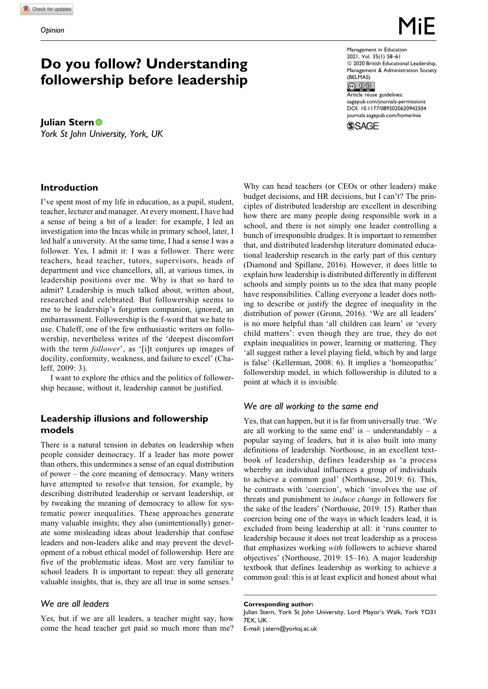# **Do you follow? Understanding followership before leadership**

**Julian Stern** *York St John University, York, UK*

## **Introduction**

I've spent most of my life in education, as a pupil, student, teacher, lecturer and manager. At every moment, I have had a sense of being a bit of a leader: for example, I led an investigation into the Incas while in primary school, later, I led half a university. At the same time, I had a sense I was a follower. Yes, I admit it: I was a follower. There were teachers, head teacher, tutors, supervisors, heads of department and vice chancellors, all, at various times, in leadership positions over me. Why is that so hard to admit? Leadership is much talked about, written about, researched and celebrated. But followership seems to me to be leadership's forgotten companion, ignored, an embarrassment. Followership is the f-word that we hate to use. Chaleff, one of the few enthusiastic writers on followership, nevertheless writes of the 'deepest discomfort with the term *follower'*, as '[i]t conjures up images of docility, conformity, weakness, and failure to excel' (Chaleff, 2009: 3).

I want to explore the ethics and the politics of followership because, without it, leadership cannot be justified.

## **Leadership illusions and followership models**

There is a natural tension in debates on leadership when people consider democracy. If a leader has more power than others, this undermines a sense of an equal distribution of power – the core meaning of democracy. Many writers have attempted to resolve that tension, for example, by describing distributed leadership or servant leadership, or by tweaking the meaning of democracy to allow for systematic power inequalities. These approaches generate many valuable insights; they also (unintentionally) generate some misleading ideas about leadership that confuse leaders and non-leaders alike and may prevent the development of a robust ethical model of followership. Here are five of the problematic ideas. Most are very familiar to school leaders. It is important to repeat: they all generate valuable insights, that is, they are all true in some senses. $<sup>1</sup>$ </sup>

#### *We are all leaders*

Yes, but if we are all leaders, a teacher might say, how come the head teacher get paid so much more than me? Management in Education 2021, Vol. 35(1) 58–61  $@$  2020 British Educational Leadership, Management & Administration Society  $(BELMAS)$ <br> $\overline{(\mathcal{C}) \ \mathcal{D} \ \mathcal{S}}$ Article reuse guidelines: [sagepub.com/journals-permissions](https://sagepub.com/journals-permissions) [DOI: 10.1177/0892020620942504](https://doi.org/10.1177/0892020620942504) [journals.sagepub.com/home/mie](http://journals.sagepub.com/home/mie) **SAGE** 

Why can head teachers (or CEOs or other leaders) make budget decisions, and HR decisions, but I can't? The principles of distributed leadership are excellent in describing how there are many people doing responsible work in a school, and there is not simply one leader controlling a bunch of irresponsible drudges. It is important to remember that, and distributed leadership literature dominated educational leadership research in the early part of this century (Diamond and Spillane, 2016). However, it does little to explain how leadership is distributed differently in different schools and simply points us to the idea that many people have responsibilities. Calling everyone a leader does nothing to describe or justify the degree of inequality in the distribution of power (Gronn, 2016). 'We are all leaders' is no more helpful than 'all children can learn' or 'every child matters': even though they are true, they do not explain inequalities in power, learning or mattering. They 'all suggest rather a level playing field, which by and large is false' (Kellerman, 2008: 6). It implies a 'homeopathic' followership model, in which followership is diluted to a point at which it is invisible.

#### *We are all working to the same end*

Yes, that can happen, but it is far from universally true. 'We are all working to the same end' is – understandably – a popular saying of leaders, but it is also built into many definitions of leadership. Northouse, in an excellent textbook of leadership, defines leadership as 'a process whereby an individual influences a group of individuals to achieve a common goal' (Northouse, 2019: 6). This, he contrasts with 'coercion', which 'involves the use of threats and punishment to induce change in followers for the sake of the leaders' (Northouse, 2019: 15). Rather than coercion being one of the ways in which leaders lead, it is excluded from being leadership at all: it 'runs counter to leadership because it does not treat leadership as a process that emphasizes working with followers to achieve shared objectives' (Northouse, 2019: 15–16). A major leadership textbook that defines leadership as working to achieve a common goal: this is at least explicit and honest about what

**Corresponding author:** Julian Stern, York St John University, Lord Mayor's Walk, York YO31 7EX, UK. E-mail: [j.stern@yorksj.ac.uk](mailto:j.stern@yorksj.ac.uk)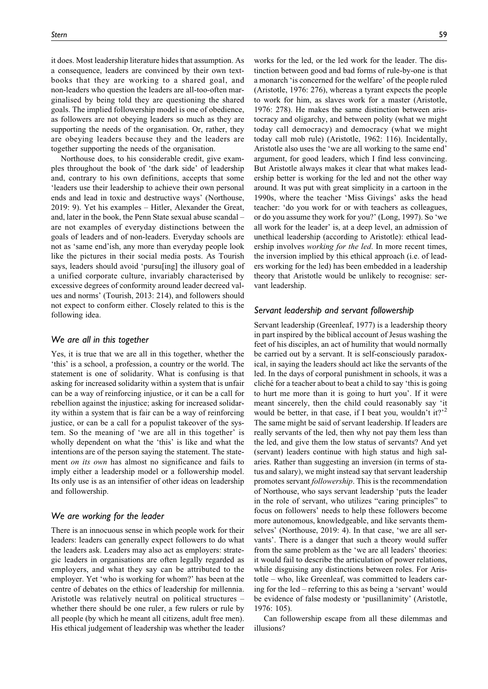it does. Most leadership literature hides that assumption. As a consequence, leaders are convinced by their own textbooks that they are working to a shared goal, and non-leaders who question the leaders are all-too-often marginalised by being told they are questioning the shared goals. The implied followership model is one of obedience, as followers are not obeying leaders so much as they are supporting the needs of the organisation. Or, rather, they are obeying leaders because they and the leaders are together supporting the needs of the organisation.

Northouse does, to his considerable credit, give examples throughout the book of 'the dark side' of leadership and, contrary to his own definitions, accepts that some 'leaders use their leadership to achieve their own personal ends and lead in toxic and destructive ways' (Northouse, 2019: 9). Yet his examples – Hitler, Alexander the Great, and, later in the book, the Penn State sexual abuse scandal – are not examples of everyday distinctions between the goals of leaders and of non-leaders. Everyday schools are not as 'same end'ish, any more than everyday people look like the pictures in their social media posts. As Tourish says, leaders should avoid 'pursu[ing] the illusory goal of a unified corporate culture, invariably characterised by excessive degrees of conformity around leader decreed values and norms' (Tourish, 2013: 214), and followers should not expect to conform either. Closely related to this is the following idea.

#### *We are all in this together*

Yes, it is true that we are all in this together, whether the 'this' is a school, a profession, a country or the world. The statement is one of solidarity. What is confusing is that asking for increased solidarity within a system that is unfair can be a way of reinforcing injustice, or it can be a call for rebellion against the injustice; asking for increased solidarity within a system that is fair can be a way of reinforcing justice, or can be a call for a populist takeover of the system. So the meaning of 'we are all in this together' is wholly dependent on what the 'this' is like and what the intentions are of the person saying the statement. The statement *on its own* has almost no significance and fails to imply either a leadership model or a followership model. Its only use is as an intensifier of other ideas on leadership and followership.

#### *We are working for the leader*

There is an innocuous sense in which people work for their leaders: leaders can generally expect followers to do what the leaders ask. Leaders may also act as employers: strategic leaders in organisations are often legally regarded as employers, and what they say can be attributed to the employer. Yet 'who is working for whom?' has been at the centre of debates on the ethics of leadership for millennia. Aristotle was relatively neutral on political structures – whether there should be one ruler, a few rulers or rule by all people (by which he meant all citizens, adult free men). His ethical judgement of leadership was whether the leader works for the led, or the led work for the leader. The distinction between good and bad forms of rule-by-one is that a monarch 'is concerned for the welfare' of the people ruled (Aristotle, 1976: 276), whereas a tyrant expects the people to work for him, as slaves work for a master (Aristotle, 1976: 278). He makes the same distinction between aristocracy and oligarchy, and between polity (what we might today call democracy) and democracy (what we might today call mob rule) (Aristotle, 1962: 116). Incidentally, Aristotle also uses the 'we are all working to the same end' argument, for good leaders, which I find less convincing. But Aristotle always makes it clear that what makes leadership better is working for the led and not the other way around. It was put with great simplicity in a cartoon in the 1990s, where the teacher 'Miss Givings' asks the head teacher: 'do you work for or with teachers as colleagues, or do you assume they work for you?' (Long, 1997). So 'we all work for the leader' is, at a deep level, an admission of unethical leadership (according to Aristotle): ethical leadership involves *working for the led*. In more recent times, the inversion implied by this ethical approach (i.e. of leaders working for the led) has been embedded in a leadership theory that Aristotle would be unlikely to recognise: servant leadership.

#### *Servant leadership and servant followership*

Servant leadership (Greenleaf, 1977) is a leadership theory in part inspired by the biblical account of Jesus washing the feet of his disciples, an act of humility that would normally be carried out by a servant. It is self-consciously paradoxical, in saying the leaders should act like the servants of the led. In the days of corporal punishment in schools, it was a cliché for a teacher about to beat a child to say 'this is going to hurt me more than it is going to hurt you'. If it were meant sincerely, then the child could reasonably say 'it would be better, in that case, if I beat you, wouldn't it?'<sup>2</sup> The same might be said of servant leadership. If leaders are really servants of the led, then why not pay them less than the led, and give them the low status of servants? And yet (servant) leaders continue with high status and high salaries. Rather than suggesting an inversion (in terms of status and salary), we might instead say that servant leadership promotes servant followership. This is the recommendation of Northouse, who says servant leadership 'puts the leader in the role of servant, who utilizes "caring principles" to focus on followers' needs to help these followers become more autonomous, knowledgeable, and like servants themselves' (Northouse, 2019: 4). In that case, 'we are all servants'. There is a danger that such a theory would suffer from the same problem as the 'we are all leaders' theories: it would fail to describe the articulation of power relations, while disguising any distinctions between roles. For Aristotle – who, like Greenleaf, was committed to leaders caring for the led – referring to this as being a 'servant' would be evidence of false modesty or 'pusillanimity' (Aristotle, 1976: 105).

Can followership escape from all these dilemmas and illusions?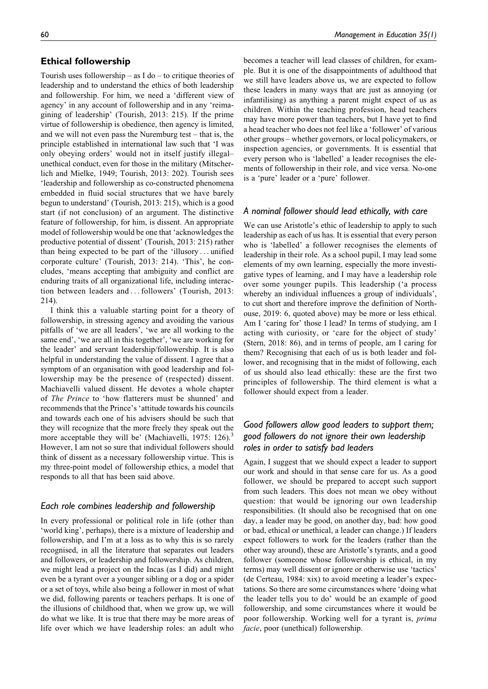#### **Ethical followership**

Tourish uses followership – as  $I$  do – to critique theories of leadership and to understand the ethics of both leadership and followership. For him, we need a 'different view of agency' in any account of followership and in any 'reimagining of leadership' (Tourish, 2013: 215). If the prime virtue of followership is obedience, then agency is limited, and we will not even pass the Nuremburg test – that is, the principle established in international law such that 'I was only obeying orders' would not in itself justify illegal– unethical conduct, even for those in the military (Mitscherlich and Mielke, 1949; Tourish, 2013: 202). Tourish sees 'leadership and followership as co-constructed phenomena embedded in fluid social structures that we have barely begun to understand' (Tourish, 2013: 215), which is a good start (if not conclusion) of an argument. The distinctive feature of followership, for him, is dissent. An appropriate model of followership would be one that 'acknowledges the productive potential of dissent' (Tourish, 2013: 215) rather than being expected to be part of the 'illusory ... unified corporate culture' (Tourish, 2013: 214). 'This', he concludes, 'means accepting that ambiguity and conflict are enduring traits of all organizational life, including interaction between leaders and ... followers' (Tourish, 2013: 214).

I think this a valuable starting point for a theory of followership, in stressing agency and avoiding the various pitfalls of 'we are all leaders', 'we are all working to the same end', 'we are all in this together', 'we are working for the leader' and servant leadership/followership. It is also helpful in understanding the value of dissent. I agree that a symptom of an organisation with good leadership and followership may be the presence of (respected) dissent. Machiavelli valued dissent. He devotes a whole chapter of The Prince to 'how flatterers must be shunned' and recommends that the Prince's 'attitude towards his councils and towards each one of his advisers should be such that they will recognize that the more freely they speak out the more acceptable they will be' (Machiavelli, 1975: 126).<sup>3</sup> However, I am not so sure that individual followers should think of dissent as a necessary followership virtue. This is my three-point model of followership ethics, a model that responds to all that has been said above.

#### *Each role combines leadership and followership*

In every professional or political role in life (other than 'world king', perhaps), there is a mixture of leadership and followership, and I'm at a loss as to why this is so rarely recognised, in all the literature that separates out leaders and followers, or leadership and followership. As children, we might lead a project on the Incas (as I did) and might even be a tyrant over a younger sibling or a dog or a spider or a set of toys, while also being a follower in most of what we did, following parents or teachers perhaps. It is one of the illusions of childhood that, when we grow up, we will do what we like. It is true that there may be more areas of life over which we have leadership roles: an adult who

becomes a teacher will lead classes of children, for example. But it is one of the disappointments of adulthood that we still have leaders above us, we are expected to follow these leaders in many ways that are just as annoying (or infantilising) as anything a parent might expect of us as children. Within the teaching profession, head teachers may have more power than teachers, but I have yet to find a head teacher who does not feel like a 'follower' of various other groups – whether governors, or local policymakers, or inspection agencies, or governments. It is essential that every person who is 'labelled' a leader recognises the elements of followership in their role, and vice versa. No-one is a 'pure' leader or a 'pure' follower.

#### *A nominal follower should lead ethically, with care*

We can use Aristotle's ethic of leadership to apply to such leadership as each of us has. It is essential that every person who is 'labelled' a follower recognises the elements of leadership in their role. As a school pupil, I may lead some elements of my own learning, especially the more investigative types of learning, and I may have a leadership role over some younger pupils. This leadership ('a process whereby an individual influences a group of individuals', to cut short and therefore improve the definition of Northouse, 2019: 6, quoted above) may be more or less ethical. Am I 'caring for' those I lead? In terms of studying, am I acting with curiosity, or 'care for the object of study' (Stern, 2018: 86), and in terms of people, am I caring for them? Recognising that each of us is both leader and follower, and recognising that in the midst of following, each of us should also lead ethically: these are the first two principles of followership. The third element is what a follower should expect from a leader.

# *Good followers allow good leaders to support them; good followers do not ignore their own leadership roles in order to satisfy bad leaders*

Again, I suggest that we should expect a leader to support our work and should in that sense care for us. As a good follower, we should be prepared to accept such support from such leaders. This does not mean we obey without question: that would be ignoring our own leadership responsibilities. (It should also be recognised that on one day, a leader may be good, on another day, bad: how good or bad, ethical or unethical, a leader can change.) If leaders expect followers to work for the leaders (rather than the other way around), these are Aristotle's tyrants, and a good follower (someone whose followership is ethical, in my terms) may well dissent or ignore or otherwise use 'tactics' (de Certeau, 1984: xix) to avoid meeting a leader's expectations. So there are some circumstances where 'doing what the leader tells you to do' would be an example of good followership, and some circumstances where it would be poor followership. Working well for a tyrant is, prima facie, poor (unethical) followership.